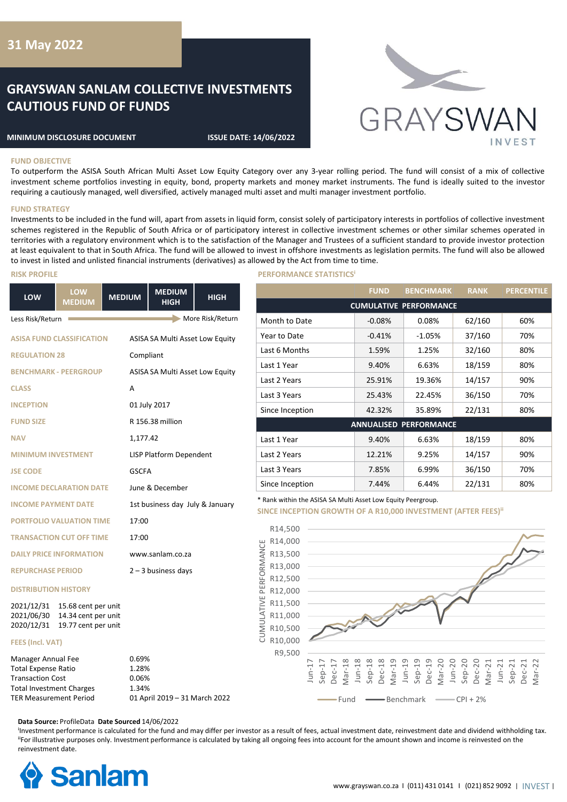## **31 May 2022**

# **GRAYSWAN SANLAM COLLECTIVE INVESTMENTS CAUTIOUS FUND OF FUNDS**

#### **MINIMUM DISCLOSURE DOCUMENT ISSUE DATE: 14/06/2022**



## **FUND OBJECTIVE**

To outperform the ASISA South African Multi Asset Low Equity Category over any 3-year rolling period. The fund will consist of a mix of collective investment scheme portfolios investing in equity, bond, property markets and money market instruments. The fund is ideally suited to the investor requiring a cautiously managed, well diversified, actively managed multi asset and multi manager investment portfolio.

#### **FUND STRATEGY**

Investments to be included in the fund will, apart from assets in liquid form, consist solely of participatory interests in portfolios of collective investment schemes registered in the Republic of South Africa or of participatory interest in collective investment schemes or other similar schemes operated in territories with a regulatory environment which is to the satisfaction of the Manager and Trustees of a sufficient standard to provide investor protection at least equivalent to that in South Africa. The fund will be allowed to invest in offshore investments as legislation permits. The fund will also be allowed to invest in listed and unlisted financial instruments (derivatives) as allowed by the Act from time to time.

| LOW                                                                                                                                             | LOW<br><b>MEDIUM</b>                                              | <b>MEDIUM</b>                    | <b>MEDIUM</b><br><b>HIGH</b>    | <b>HIGH</b>      |  |
|-------------------------------------------------------------------------------------------------------------------------------------------------|-------------------------------------------------------------------|----------------------------------|---------------------------------|------------------|--|
| Less Risk/Return                                                                                                                                |                                                                   |                                  |                                 | More Risk/Return |  |
| <b>ASISA FUND CLASSIFICATION</b>                                                                                                                |                                                                   |                                  | ASISA SA Multi Asset Low Equity |                  |  |
| <b>REGULATION 28</b>                                                                                                                            |                                                                   |                                  | Compliant                       |                  |  |
|                                                                                                                                                 | <b>BENCHMARK - PEERGROUP</b>                                      |                                  | ASISA SA Multi Asset Low Equity |                  |  |
| <b>CLASS</b>                                                                                                                                    |                                                                   | A                                |                                 |                  |  |
| <b>INCEPTION</b>                                                                                                                                |                                                                   |                                  | 01 July 2017                    |                  |  |
| <b>FUND SIZE</b>                                                                                                                                |                                                                   |                                  | R 156.38 million                |                  |  |
| <b>NAV</b>                                                                                                                                      |                                                                   | 1,177.42                         |                                 |                  |  |
| <b>MINIMUM INVESTMENT</b>                                                                                                                       |                                                                   |                                  | LISP Platform Dependent         |                  |  |
| <b>JSE CODE</b>                                                                                                                                 |                                                                   | <b>GSCFA</b>                     |                                 |                  |  |
|                                                                                                                                                 | <b>INCOME DECLARATION DATE</b>                                    |                                  | June & December                 |                  |  |
| <b>INCOME PAYMENT DATE</b>                                                                                                                      |                                                                   |                                  | 1st business day July & January |                  |  |
|                                                                                                                                                 | <b>PORTFOLIO VALUATION TIME</b>                                   | 17:00                            |                                 |                  |  |
|                                                                                                                                                 | <b>TRANSACTION CUT OFF TIME</b>                                   | 17:00                            |                                 |                  |  |
|                                                                                                                                                 | <b>DAILY PRICE INFORMATION</b>                                    |                                  | www.sanlam.co.za                |                  |  |
| <b>REPURCHASE PERIOD</b>                                                                                                                        |                                                                   |                                  | $2 - 3$ business days           |                  |  |
| <b>DISTRIBUTION HISTORY</b>                                                                                                                     |                                                                   |                                  |                                 |                  |  |
| 2021/12/31<br>2021/06/30<br>2020/12/31                                                                                                          | 15.68 cent per unit<br>14.34 cent per unit<br>19.77 cent per unit |                                  |                                 |                  |  |
| <b>FEES (Incl. VAT)</b>                                                                                                                         |                                                                   |                                  |                                 |                  |  |
| Manager Annual Fee<br><b>Total Expense Ratio</b><br><b>Transaction Cost</b><br><b>Total Investment Charges</b><br><b>TER Measurement Period</b> |                                                                   | 0.69%<br>1.28%<br>0.06%<br>1.34% | 01 April 2019 - 31 March 2022   |                  |  |

#### **RISK PROFILE PERFORMANCE STATISTICS**

|                               | <b>FUND</b> | <b>BENCHMARK</b> | <b>RANK</b> | <b>PERCENTILE</b> |  |
|-------------------------------|-------------|------------------|-------------|-------------------|--|
| <b>CUMULATIVE PERFORMANCE</b> |             |                  |             |                   |  |
| Month to Date                 | $-0.08%$    | 0.08%            | 62/160      | 60%               |  |
| Year to Date                  | $-0.41%$    | $-1.05%$         | 37/160      | 70%               |  |
| Last 6 Months                 | 1.59%       | 1.25%            | 32/160      | 80%               |  |
| Last 1 Year                   | 9.40%       | 6.63%            | 18/159      | 80%               |  |
| Last 2 Years                  | 25.91%      | 19.36%           | 14/157      | 90%               |  |
| Last 3 Years                  | 25.43%      | 22.45%           | 36/150      | 70%               |  |
| Since Inception               | 42.32%      | 35.89%           | 22/131      | 80%               |  |
| <b>ANNUALISED PERFORMANCE</b> |             |                  |             |                   |  |
| Last 1 Year                   | 9.40%       | 6.63%            | 18/159      | 80%               |  |
| Last 2 Years                  | 12.21%      | 9.25%            | 14/157      | 90%               |  |
| Last 3 Years                  | 7.85%       | 6.99%            | 36/150      | 70%               |  |
| Since Inception               | 7.44%       | 6.44%            | 22/131      | 80%               |  |

\* Rank within the ASISA SA Multi Asset Low Equity Peergroup.

**SINCE INCEPTION GROWTH OF A R10,000 INVESTMENT (AFTER FEES)<sup>ii</sup>** 



**Data Source:** ProfileData **Date Sourced** 14/06/2022

<sup>I</sup>Investment performance is calculated for the fund and may differ per investor as a result of fees, actual investment date, reinvestment date and dividend withholding tax. "For illustrative purposes only. Investment performance is calculated by taking all ongoing fees into account for the amount shown and income is reinvested on the reinvestment date.

CUMULATIVE PERFORMANCE

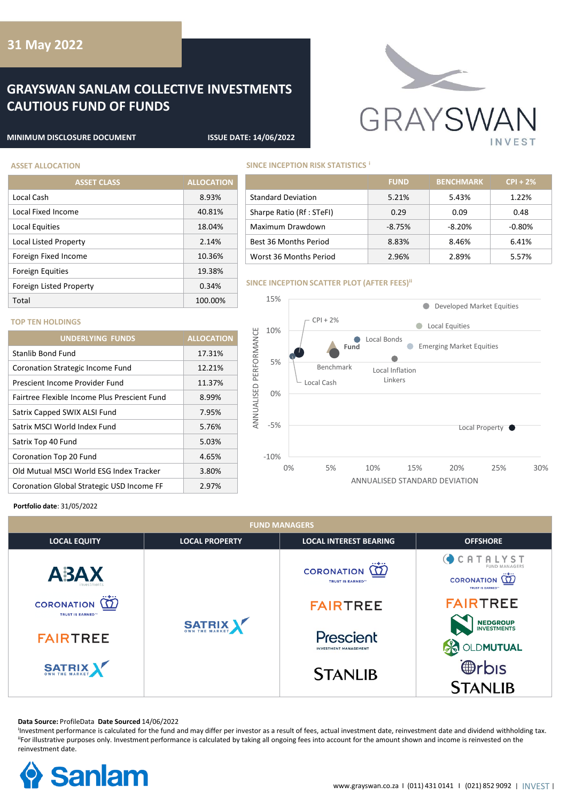## **31 May 2022**

# **GRAYSWAN SANLAM COLLECTIVE INVESTMENTS CAUTIOUS FUND OF FUNDS**

**ASSET CLASS ALLOCATION**

Local Cash 8.93% Local Fixed Income 40.81% Local Equities 18.04% Local Listed Property 2.14% Foreign Fixed Income 10.36% Foreign Equities 19.38% Foreign Listed Property **Contact Contact Property** 6.34%



#### **MINIMUM DISCLOSURE DOCUMENT ISSUE DATE: 14/06/2022**

## **ASSET ALLOCATION SINCE INCEPTION RISK STATISTICS i**

|                           | <b>FUND</b> | <b>BENCHMARK</b> | $CPI + 2%$ |
|---------------------------|-------------|------------------|------------|
| <b>Standard Deviation</b> | 5.21%       | 5.43%            | $1.22\%$   |
| Sharpe Ratio (Rf : STeFI) | 0.29        | 0.09             | 0.48       |
| Maximum Drawdown          | $-8.75%$    | $-8.20%$         | $-0.80\%$  |
| Best 36 Months Period     | 8.83%       | 8.46%            | 6.41%      |
| Worst 36 Months Period    | 2.96%       | 2.89%            | 5.57%      |

#### **SINCE INCEPTION SCATTER PLOT (AFTER FEES)<sup>ii</sup>**



## **TOP TEN HOLDINGS**

| <b>UNDERLYING FUNDS</b>                      | <b>ALLOCATION</b> |
|----------------------------------------------|-------------------|
| Stanlib Bond Fund                            | 17.31%            |
| Coronation Strategic Income Fund             | 12.21%            |
| Prescient Income Provider Fund               | 11.37%            |
| Fairtree Flexible Income Plus Prescient Fund | 8.99%             |
| Satrix Capped SWIX ALSI Fund                 | 7.95%             |
| Satrix MSCI World Index Fund                 | 5.76%             |
| Satrix Top 40 Fund                           | 5.03%             |
| Coronation Top 20 Fund                       | 4.65%             |
| Old Mutual MSCI World ESG Index Tracker      | 3.80%             |
| Coronation Global Strategic USD Income FF    | 2.97%             |

### **Portfolio date**: 31/05/2022

| <b>FUND MANAGERS</b> |                                                           |                                                                                  |                                                                                      |  |  |
|----------------------|-----------------------------------------------------------|----------------------------------------------------------------------------------|--------------------------------------------------------------------------------------|--|--|
| <b>LOCAL EQUITY</b>  | <b>LOCAL PROPERTY</b>                                     | <b>LOCAL INTEREST BEARING</b>                                                    | <b>OFFSHORE</b>                                                                      |  |  |
| A3AX                 |                                                           | $\overline{\omega}$<br><b>CORONATION</b><br><b>TRUST IS EARNED</b> <sup>77</sup> | <b>CATALYST</b><br><b>FUND MANAGERS</b><br>CORONATION (T)<br><b>TRUST IS EARNED"</b> |  |  |
| CORONATION <b>12</b> |                                                           | <b>FAIRTREE</b>                                                                  | <b>FAIRTREE</b>                                                                      |  |  |
| <b>FAIRTREE</b>      | <b>TRUST IS EARNED™</b><br><b>SATRIX</b><br><b>SATRIX</b> | Prescient<br><b>INVESTMENT MANAGEMENT</b>                                        | <b>NEDGROUP</b><br><b>INVESTMENTS</b><br>LDMUTUAL                                    |  |  |
|                      |                                                           | <b>STANLIB</b>                                                                   | <b>@rbis</b><br><b>STANLIB</b>                                                       |  |  |

#### **Data Source:** ProfileData **Date Sourced** 14/06/2022

<sup>I</sup>Investment performance is calculated for the fund and may differ per investor as a result of fees, actual investment date, reinvestment date and dividend withholding tax. "For illustrative purposes only. Investment performance is calculated by taking all ongoing fees into account for the amount shown and income is reinvested on the reinvestment date.

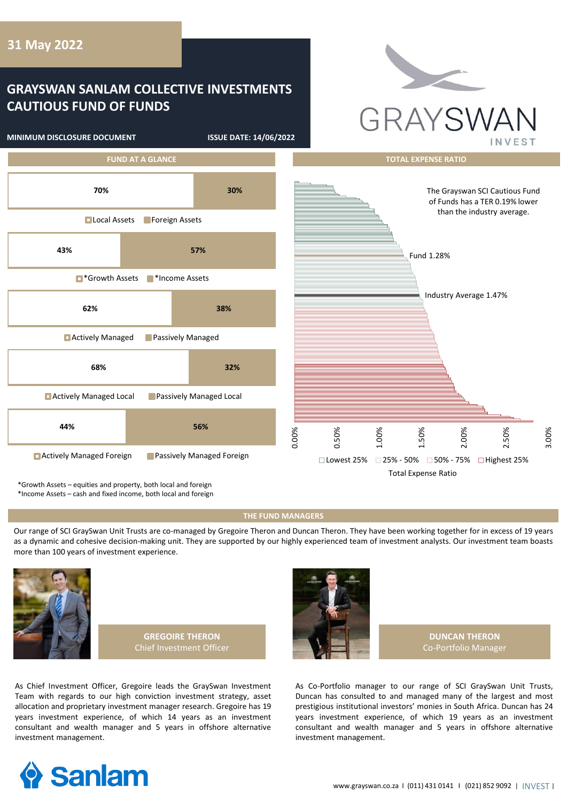# **GRAYSWAN SANLAM COLLECTIVE INVESTMENTS CAUTIOUS FUND OF FUNDS**

**MINIMUM DISCLOSURE DOCUMENT ISSUE DATE: 14/06/2022**





\*Growth Assets – equities and property, both local and foreign

\*Income Assets – cash and fixed income, both local and foreign

#### **THE FUND MANAGERS**

Our range of SCI GraySwan Unit Trusts are co-managed by Gregoire Theron and Duncan Theron. They have been working together for in excess of 19 years as a dynamic and cohesive decision-making unit. They are supported by our highly experienced team of investment analysts. Our investment team boasts more than 100 years of investment experience.







**DUNCAN THERON** Co-Portfolio Manager

As Chief Investment Officer, Gregoire leads the GraySwan Investment Team with regards to our high conviction investment strategy, asset allocation and proprietary investment manager research. Gregoire has 19 years investment experience, of which 14 years as an investment consultant and wealth manager and 5 years in offshore alternative investment management.

As Co-Portfolio manager to our range of SCI GraySwan Unit Trusts, Duncan has consulted to and managed many of the largest and most prestigious institutional investors' monies in South Africa. Duncan has 24 years investment experience, of which 19 years as an investment consultant and wealth manager and 5 years in offshore alternative investment management.